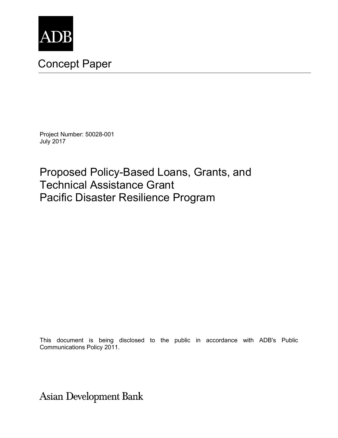

# Concept Paper

Project Number: 50028-001 July 2017

Proposed Policy-Based Loans, Grants, and Technical Assistance Grant Pacific Disaster Resilience Program

This document is being disclosed to the public in accordance with ADB's Public Communications Policy 2011.

**Asian Development Bank**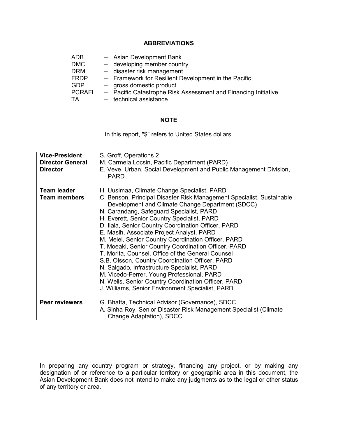## **ABBREVIATIONS**

| <b>ADB</b>    | - Asian Development Bank                                       |
|---------------|----------------------------------------------------------------|
| <b>DMC</b>    | - developing member country                                    |
| <b>DRM</b>    | - disaster risk management                                     |
| <b>FRDP</b>   | - Framework for Resilient Development in the Pacific           |
| GDP           | - gross domestic product                                       |
| <b>PCRAFI</b> | - Pacific Catastrophe Risk Assessment and Financing Initiative |
| TА            | - technical assistance                                         |

## **NOTE**

In this report, "\$" refers to United States dollars.

| <b>Vice-President</b><br><b>Director General</b><br><b>Director</b> | S. Groff, Operations 2<br>M. Carmela Locsin, Pacific Department (PARD)<br>E. Veve, Urban, Social Development and Public Management Division,<br><b>PARD</b>                                                                                                                                                                                                                                                                                                                                                                                                                                                                                                                                                                                                                                            |
|---------------------------------------------------------------------|--------------------------------------------------------------------------------------------------------------------------------------------------------------------------------------------------------------------------------------------------------------------------------------------------------------------------------------------------------------------------------------------------------------------------------------------------------------------------------------------------------------------------------------------------------------------------------------------------------------------------------------------------------------------------------------------------------------------------------------------------------------------------------------------------------|
| <b>Team leader</b><br><b>Team members</b>                           | H. Uusimaa, Climate Change Specialist, PARD<br>C. Benson, Principal Disaster Risk Management Specialist, Sustainable<br>Development and Climate Change Department (SDCC)<br>N. Carandang, Safeguard Specialist, PARD<br>H. Everett, Senior Country Specialist, PARD<br>D. Ilala, Senior Country Coordination Officer, PARD<br>E. Masih, Associate Project Analyst, PARD<br>M. Melei, Senior Country Coordination Officer, PARD<br>T. Moeaki, Senior Country Coordination Officer, PARD<br>T. Morita, Counsel, Office of the General Counsel<br>S.B. Olsson, Country Coordination Officer, PARD<br>N. Salgado, Infrastructure Specialist, PARD<br>M. Vicedo-Ferrer, Young Professional, PARD<br>N. Wells, Senior Country Coordination Officer, PARD<br>J. Williams, Senior Environment Specialist, PARD |
| <b>Peer reviewers</b>                                               | G. Bhatta, Technical Advisor (Governance), SDCC<br>A. Sinha Roy, Senior Disaster Risk Management Specialist (Climate<br>Change Adaptation), SDCC                                                                                                                                                                                                                                                                                                                                                                                                                                                                                                                                                                                                                                                       |

In preparing any country program or strategy, financing any project, or by making any designation of or reference to a particular territory or geographic area in this document, the Asian Development Bank does not intend to make any judgments as to the legal or other status of any territory or area.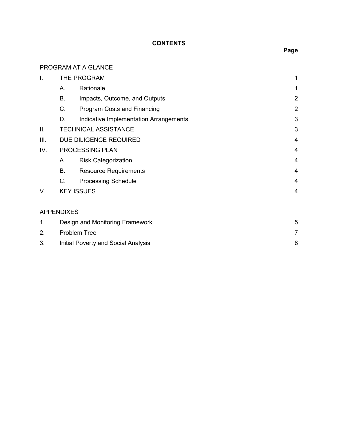# **CONTENTS**

# PROGRAM AT A GLANCE

| Ι.   |                                            | THE PROGRAM                            | 1              |
|------|--------------------------------------------|----------------------------------------|----------------|
|      | А.                                         | Rationale                              | 1              |
|      | <b>B.</b>                                  | Impacts, Outcome, and Outputs          | $\overline{2}$ |
|      | C.                                         | Program Costs and Financing            | $\overline{2}$ |
|      | D.                                         | Indicative Implementation Arrangements | 3              |
| ΙΙ.  |                                            | <b>TECHNICAL ASSISTANCE</b>            | 3              |
| III. |                                            | DUE DILIGENCE REQUIRED                 | $\overline{4}$ |
| IV.  |                                            | PROCESSING PLAN                        | 4              |
|      | А.                                         | <b>Risk Categorization</b>             | 4              |
|      | Β.                                         | <b>Resource Requirements</b>           | 4              |
|      | C.                                         | <b>Processing Schedule</b>             | $\overline{4}$ |
| V.   |                                            | <b>KEY ISSUES</b>                      | 4              |
|      | <b>APPENDIXES</b>                          |                                        |                |
| 1.   | Design and Monitoring Framework            |                                        | 5              |
| 2.   |                                            | <b>Problem Tree</b>                    | 7              |
| 3.   | <b>Initial Poverty and Social Analysis</b> |                                        | 8              |

**Page**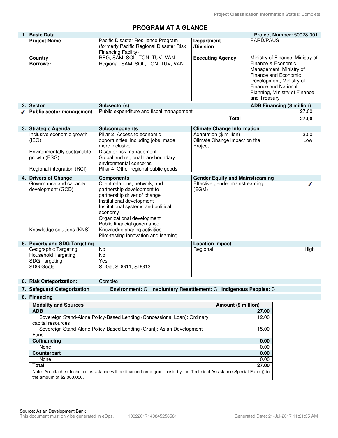# **PROGRAM AT A GLANCE**

| 1. Basic Data                             |                                                                                                                         |                        |                                        | Project Number: 50028-001                        |       |
|-------------------------------------------|-------------------------------------------------------------------------------------------------------------------------|------------------------|----------------------------------------|--------------------------------------------------|-------|
| <b>Project Name</b>                       | Pacific Disaster Resilience Program                                                                                     | <b>Department</b>      |                                        | PARD/PAUS                                        |       |
|                                           | (formerly Pacific Regional Disaster Risk                                                                                | /Division              |                                        |                                                  |       |
|                                           | Financing Facility)                                                                                                     |                        |                                        |                                                  |       |
| Country                                   | REG, SAM, SOL, TON, TUV, VAN                                                                                            |                        | <b>Executing Agency</b>                | Ministry of Finance, Ministry of                 |       |
| <b>Borrower</b>                           | Regional, SAM, SOL, TON, TUV, VAN                                                                                       |                        |                                        | Finance & Economic                               |       |
|                                           |                                                                                                                         |                        |                                        | Management, Ministry of                          |       |
|                                           |                                                                                                                         |                        |                                        | Finance and Economic                             |       |
|                                           |                                                                                                                         |                        |                                        | Development, Ministry of<br>Finance and National |       |
|                                           |                                                                                                                         |                        |                                        | Planning, Ministry of Finance                    |       |
|                                           |                                                                                                                         |                        |                                        | and Treasury                                     |       |
| 2. Sector                                 | Subsector(s)                                                                                                            |                        |                                        | <b>ADB Financing (\$ million)</b>                |       |
| <b>Public sector management</b>           | Public expenditure and fiscal management                                                                                |                        |                                        |                                                  | 27.00 |
|                                           |                                                                                                                         |                        |                                        |                                                  | 27.00 |
|                                           |                                                                                                                         |                        | <b>Total</b>                           |                                                  |       |
| 3. Strategic Agenda                       | <b>Subcomponents</b>                                                                                                    |                        | <b>Climate Change Information</b>      |                                                  |       |
| Inclusive economic growth                 | Pillar 2: Access to economic                                                                                            |                        | Adaptation (\$ million)                |                                                  | 3.00  |
| (IEG)                                     | opportunities, including jobs, made                                                                                     |                        | Climate Change impact on the           |                                                  | Low   |
|                                           | more inclusive                                                                                                          | Project                |                                        |                                                  |       |
| Environmentally sustainable               | Disaster risk management                                                                                                |                        |                                        |                                                  |       |
| growth (ESG)                              | Global and regional transboundary                                                                                       |                        |                                        |                                                  |       |
|                                           | environmental concerns                                                                                                  |                        |                                        |                                                  |       |
| Regional integration (RCI)                | Pillar 4: Other regional public goods                                                                                   |                        |                                        |                                                  |       |
| 4. Drivers of Change                      | <b>Components</b>                                                                                                       |                        | <b>Gender Equity and Mainstreaming</b> |                                                  |       |
| Governance and capacity                   | Client relations, network, and                                                                                          |                        | Effective gender mainstreaming         |                                                  |       |
| development (GCD)                         | partnership development to                                                                                              | (EGM)                  |                                        |                                                  |       |
|                                           | partnership driver of change                                                                                            |                        |                                        |                                                  |       |
|                                           | Institutional development<br>Institutional systems and political                                                        |                        |                                        |                                                  |       |
|                                           | economy                                                                                                                 |                        |                                        |                                                  |       |
|                                           | Organizational development                                                                                              |                        |                                        |                                                  |       |
|                                           | Public financial governance                                                                                             |                        |                                        |                                                  |       |
| Knowledge solutions (KNS)                 | Knowledge sharing activities                                                                                            |                        |                                        |                                                  |       |
|                                           | Pilot-testing innovation and learning                                                                                   |                        |                                        |                                                  |       |
| 5. Poverty and SDG Targeting              |                                                                                                                         | <b>Location Impact</b> |                                        |                                                  |       |
| Geographic Targeting                      | No                                                                                                                      | Regional               |                                        |                                                  | High  |
| <b>Household Targeting</b>                | No                                                                                                                      |                        |                                        |                                                  |       |
| <b>SDG Targeting</b>                      | Yes                                                                                                                     |                        |                                        |                                                  |       |
| <b>SDG Goals</b>                          | SDG9, SDG11, SDG13                                                                                                      |                        |                                        |                                                  |       |
|                                           |                                                                                                                         |                        |                                        |                                                  |       |
| 6. Risk Categorization:                   | Complex                                                                                                                 |                        |                                        |                                                  |       |
| 7. Safeguard Categorization               | Environment: C Involuntary Resettlement: C Indigenous Peoples: C                                                        |                        |                                        |                                                  |       |
| 8. Financing                              |                                                                                                                         |                        |                                        |                                                  |       |
|                                           |                                                                                                                         |                        |                                        |                                                  |       |
| <b>Modality and Sources</b><br><b>ADB</b> |                                                                                                                         |                        | <b>Amount (\$ million)</b>             | 27.00                                            |       |
|                                           | Sovereign Stand-Alone Policy-Based Lending (Concessional Loan): Ordinary                                                |                        |                                        | 12.00                                            |       |
| capital resources                         |                                                                                                                         |                        |                                        |                                                  |       |
|                                           | Sovereign Stand-Alone Policy-Based Lending (Grant): Asian Development                                                   |                        |                                        | 15.00                                            |       |
| Fund                                      |                                                                                                                         |                        |                                        |                                                  |       |
| Cofinancing                               |                                                                                                                         |                        |                                        | 0.00                                             |       |
| None                                      |                                                                                                                         |                        |                                        | 0.00                                             |       |
| Counterpart                               |                                                                                                                         |                        |                                        | 0.00                                             |       |
| None                                      |                                                                                                                         |                        |                                        | 0.00                                             |       |
| <b>Total</b>                              |                                                                                                                         |                        |                                        | 27.00                                            |       |
|                                           | Note: An attached technical assistance will be financed on a grant basis by the Technical Assistance Special Fund () in |                        |                                        |                                                  |       |
| the amount of \$2,000,000.                |                                                                                                                         |                        |                                        |                                                  |       |
|                                           |                                                                                                                         |                        |                                        |                                                  |       |
|                                           |                                                                                                                         |                        |                                        |                                                  |       |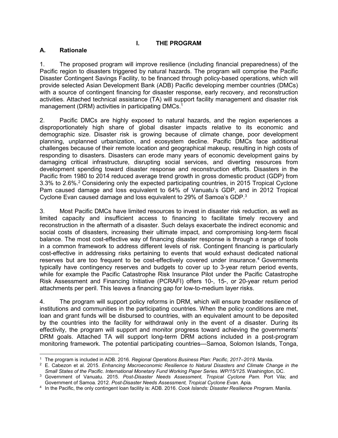## **I. THE PROGRAM**

## **A. Rationale**

1. The proposed program will improve resilience (including financial preparedness) of the Pacific region to disasters triggered by natural hazards. The program will comprise the Pacific Disaster Contingent Savings Facility, to be financed through policy-based operations, which will provide selected Asian Development Bank (ADB) Pacific developing member countries (DMCs) with a source of contingent financing for disaster response, early recovery, and reconstruction activities. Attached technical assistance (TA) will support facility management and disaster risk management (DRM) activities in participating DMCs.<sup>1</sup>

2. Pacific DMCs are highly exposed to natural hazards, and the region experiences a disproportionately high share of global disaster impacts relative to its economic and demographic size. Disaster risk is growing because of climate change, poor development planning, unplanned urbanization, and ecosystem decline. Pacific DMCs face additional challenges because of their remote location and geographical makeup, resulting in high costs of responding to disasters. Disasters can erode many years of economic development gains by damaging critical infrastructure, disrupting social services, and diverting resources from development spending toward disaster response and reconstruction efforts. Disasters in the Pacific from 1980 to 2014 reduced average trend growth in gross domestic product (GDP) from 3.3% to 2.6%.<sup>2</sup> Considering only the expected participating countries, in 2015 Tropical Cyclone Pam caused damage and loss equivalent to 64% of Vanuatu's GDP, and in 2012 Tropical Cyclone Evan caused damage and loss equivalent to 29% of Samoa's GDP.<sup>3</sup>

3. Most Pacific DMCs have limited resources to invest in disaster risk reduction, as well as limited capacity and insufficient access to financing to facilitate timely recovery and reconstruction in the aftermath of a disaster. Such delays exacerbate the indirect economic and social costs of disasters, increasing their ultimate impact, and compromising long-term fiscal balance. The most cost-effective way of financing disaster response is through a range of tools in a common framework to address different levels of risk. Contingent financing is particularly cost-effective in addressing risks pertaining to events that would exhaust dedicated national reserves but are too frequent to be cost-effectively covered under insurance.<sup>4</sup> Governments typically have contingency reserves and budgets to cover up to 3-year return period events, while for example the Pacific Catastrophe Risk Insurance Pilot under the Pacific Catastrophe Risk Assessment and Financing Initiative (PCRAFI) offers 10-, 15-, or 20-year return period attachments per peril. This leaves a financing gap for low-to-medium layer risks.

4. The program will support policy reforms in DRM, which will ensure broader resilience of institutions and communities in the participating countries. When the policy conditions are met, loan and grant funds will be disbursed to countries, with an equivalent amount to be deposited by the countries into the facility for withdrawal only in the event of a disaster. During its effectivity, the program will support and monitor progress toward achieving the governments' DRM goals. Attached TA will support long-term DRM actions included in a post-program monitoring framework. The potential participating countries—Samoa, Solomon Islands, Tonga,

 $\overline{a}$ 1 The program is included in ADB. 2016. *Regional Operations Business Plan: Pacific, 2017–2019.* Manila.

<sup>2</sup> E. Cabezon et al. 2015. *Enhancing Macroeconomic Resilience to Natural Disasters and Climate Change in the Small States of the Pacific. International Monetary Fund Working Paper Series. WP/15/125.* Washington, DC.

<sup>3</sup> Government of Vanuatu. 2015. *Post-Disaster Needs Assessment, Tropical Cyclone Pam.* Port Vila; and Government of Samoa. 2012. *Post-Disaster Needs Assessment, Tropical Cyclone Evan.* Apia.

<sup>4</sup> In the Pacific, the only contingent loan facility is: ADB. 2016. *Cook Islands: Disaster Resilience Program.* Manila.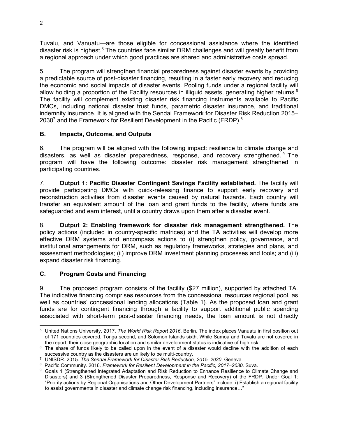Tuvalu, and Vanuatu—are those eligible for concessional assistance where the identified disaster risk is highest.<sup>5</sup> The countries face similar DRM challenges and will greatly benefit from a regional approach under which good practices are shared and administrative costs spread.

5. The program will strengthen financial preparedness against disaster events by providing a predictable source of post-disaster financing, resulting in a faster early recovery and reducing the economic and social impacts of disaster events. Pooling funds under a regional facility will allow holding a proportion of the Facility resources in illiquid assets, generating higher returns. $6$ The facility will complement existing disaster risk financing instruments available to Pacific DMCs, including national disaster trust funds, parametric disaster insurance, and traditional indemnity insurance. It is aligned with the Sendai Framework for Disaster Risk Reduction 2015– 2030<sup>7</sup> and the Framework for Resilient Development in the Pacific (FRDP).<sup>8</sup>

# **B. Impacts, Outcome, and Outputs**

6. The program will be aligned with the following impact: resilience to climate change and disasters, as well as disaster preparedness, response, and recovery strengthened.<sup>9</sup> The program will have the following outcome: disaster risk management strengthened in participating countries.

7. **Output 1: Pacific Disaster Contingent Savings Facility established.** The facility will provide participating DMCs with quick-releasing finance to support early recovery and reconstruction activities from disaster events caused by natural hazards. Each country will transfer an equivalent amount of the loan and grant funds to the facility, where funds are safeguarded and earn interest, until a country draws upon them after a disaster event.

8. **Output 2: Enabling framework for disaster risk management strengthened.** The policy actions (included in country-specific matrices) and the TA activities will develop more effective DRM systems and encompass actions to (i) strengthen policy, governance, and institutional arrangements for DRM, such as regulatory frameworks, strategies and plans, and assessment methodologies; (ii) improve DRM investment planning processes and tools; and (iii) expand disaster risk financing.

# **C. Program Costs and Financing**

9. The proposed program consists of the facility (\$27 million), supported by attached TA. The indicative financing comprises resources from the concessional resources regional pool, as well as countries' concessional lending allocations (Table 1). As the proposed loan and grant funds are for contingent financing through a facility to support additional public spending associated with short-term post-disaster financing needs, the loan amount is not directly

 $\overline{a}$ 5 United Nations University. 2017. *The World Risk Report 2016*. Berlin. The index places Vanuatu in first position out of 171 countries covered, Tonga second, and Solomon Islands sixth. While Samoa and Tuvalu are not covered in the report, their close geographic location and similar development status is indicative of high risk.

<sup>&</sup>lt;sup>6</sup> The share of funds likely to be called upon in the event of a disaster would decline with the addition of each successive country as the disasters are unlikely to be multi-country.

<sup>7</sup> UNISDR. 2015. *The Sendai Framework for Disaster Risk Reduction, 2015–2030.* Geneva.

<sup>8</sup> Pacific Community. 2016. *Framework for Resilient Development in the Pacific, 2017–2030*. Suva.

<sup>9</sup> Goals 1 (Strengthened Integrated Adaptation and Risk Reduction to Enhance Resilience to Climate Change and Disasters) and 3 (Strengthened Disaster Preparedness, Response and Recovery) of the FRDP. Under Goal 1: "Priority actions by Regional Organisations and Other Development Partners" include: i) Establish a regional facility to assist governments in disaster and climate change risk financing, including insurance..."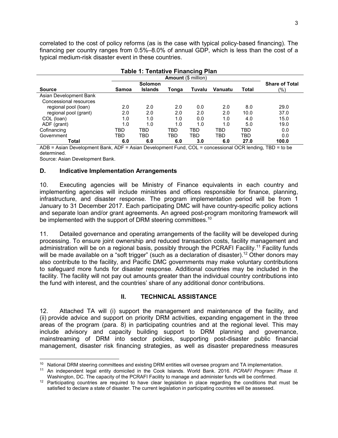correlated to the cost of policy reforms (as is the case with typical policy-based financing). The financing per country ranges from 0.5%–8.0% of annual GDP, which is less than the cost of a typical medium-risk disaster event in these countries.

|                        |       | <b>Table 1: Tentative Financing Plan</b> |       |                            |                |              |                       |
|------------------------|-------|------------------------------------------|-------|----------------------------|----------------|--------------|-----------------------|
|                        |       |                                          |       | <b>Amount (\$ million)</b> |                |              |                       |
|                        |       | <b>Solomon</b>                           |       |                            |                |              | <b>Share of Total</b> |
| <b>Source</b>          | Samoa | <b>Islands</b>                           | Tonga | Tuvalu                     | <b>Vanuatu</b> | <b>Total</b> | (%)                   |
| Asian Development Bank |       |                                          |       |                            |                |              |                       |
| Concessional resources |       |                                          |       |                            |                |              |                       |
| regional pool (loan)   | 2.0   | 2.0                                      | 2.0   | 0.0                        | 2.0            | 8.0          | 29.0                  |
| regional pool (grant)  | 2.0   | 2.0                                      | 2.0   | 2.0                        | 2.0            | 10.0         | 37.0                  |
| COL (loan)             | 1.0   | 1.0                                      | 1.0   | 0.0                        | 1.0            | 4.0          | 15.0                  |
| ADF (grant)            | 1.0   | 1.0                                      | 1.0   | 1.0                        | 1.0            | 5.0          | 19.0                  |
| Cofinancing            | TBD   | TBD                                      | TBD   | TBD                        | <b>TBD</b>     | TBD          | 0.0                   |
| Government             | TBD   | TBD                                      | TBD   | TBD                        | TBD            | TBD          | 0.0                   |
| Total                  | 6.0   | 6.0                                      | 6.0   | 3.0                        | 6.0            | 27.0         | 100.0                 |

ADB = Asian Development Bank, ADF = Asian Development Fund, COL = concessional OCR lending, TBD = to be determined.

Source: Asian Development Bank.

-

## **D. Indicative Implementation Arrangements**

10. Executing agencies will be Ministry of Finance equivalents in each country and implementing agencies will include ministries and offices responsible for finance, planning, infrastructure, and disaster response. The program implementation period will be from 1 January to 31 December 2017. Each participating DMC will have country-specific policy actions and separate loan and/or grant agreements. An agreed post-program monitoring framework will be implemented with the support of DRM steering committees.<sup>10</sup>

11. Detailed governance and operating arrangements of the facility will be developed during processing. To ensure joint ownership and reduced transaction costs, facility management and administration will be on a regional basis, possibly through the PCRAFI Facility.<sup>11</sup> Facility funds will be made available on a "soft trigger" (such as a declaration of disaster).<sup>12</sup> Other donors may also contribute to the facility, and Pacific DMC governments may make voluntary contributions to safeguard more funds for disaster response. Additional countries may be included in the facility. The facility will not pay out amounts greater than the individual country contributions into the fund with interest, and the countries' share of any additional donor contributions.

## **II. TECHNICAL ASSISTANCE**

12. Attached TA will (i) support the management and maintenance of the facility, and (ii) provide advice and support on priority DRM activities, expanding engagement in the three areas of the program (para. 8) in participating countries and at the regional level. This may include advisory and capacity building support to DRM planning and governance, mainstreaming of DRM into sector policies, supporting post-disaster public financial management, disaster risk financing strategies, as well as disaster preparedness measures

<sup>&</sup>lt;sup>10</sup> National DRM steering committees and existing DRM entities will oversee program and TA implementation.

<sup>11</sup> An independent legal entity domiciled in the Cook Islands. World Bank. 2016. *PCRAFI Program: Phase II.*  Washington, DC. The capacity of the PCRAFI Facility to manage and administer funds will be confirmed.

 $12$  Participating countries are required to have clear legislation in place regarding the conditions that must be satisfied to declare a state of disaster. The current legislation in participating countries will be assessed.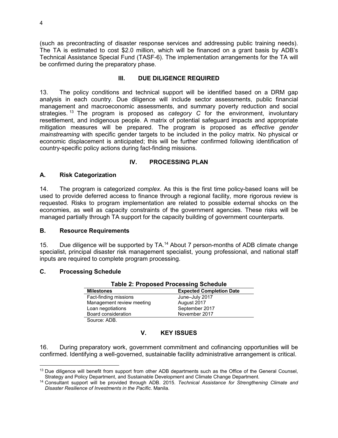(such as precontracting of disaster response services and addressing public training needs). The TA is estimated to cost \$2.0 million, which will be financed on a grant basis by ADB's Technical Assistance Special Fund (TASF-6). The implementation arrangements for the TA will be confirmed during the preparatory phase.

## **III. DUE DILIGENCE REQUIRED**

13. The policy conditions and technical support will be identified based on a DRM gap analysis in each country. Due diligence will include sector assessments, public financial management and macroeconomic assessments, and summary poverty reduction and social strategies. <sup>13</sup> The program is proposed as *category C* for the environment, involuntary resettlement, and indigenous people. A matrix of potential safeguard impacts and appropriate mitigation measures will be prepared. The program is proposed as *effective gender mainstreaming* with specific gender targets to be included in the policy matrix. No physical or economic displacement is anticipated; this will be further confirmed following identification of country-specific policy actions during fact-finding missions.

## **IV. PROCESSING PLAN**

## **A. Risk Categorization**

14. The program is categorized *complex*. As this is the first time policy-based loans will be used to provide deferred access to finance through a regional facility, more rigorous review is requested. Risks to program implementation are related to possible external shocks on the economies, as well as capacity constraints of the government agencies. These risks will be managed partially through TA support for the capacity building of government counterparts.

## **B. Resource Requirements**

15. Due diligence will be supported by TA.<sup>14</sup> About 7 person-months of ADB climate change specialist, principal disaster risk management specialist, young professional, and national staff inputs are required to complete program processing.

## **C. Processing Schedule**

| <b>Table 2: Proposed Processing Schedule</b> |                                 |  |  |  |  |
|----------------------------------------------|---------------------------------|--|--|--|--|
| <b>Milestones</b>                            | <b>Expected Completion Date</b> |  |  |  |  |
| Fact-finding missions                        | June-July 2017                  |  |  |  |  |
| Management review meeting                    | August 2017                     |  |  |  |  |
| Loan negotiations                            | September 2017                  |  |  |  |  |
| Board consideration                          | November 2017                   |  |  |  |  |
| Source: ADB.                                 |                                 |  |  |  |  |

## **V. KEY ISSUES**

16. During preparatory work, government commitment and cofinancing opportunities will be confirmed. Identifying a well-governed, sustainable facility administrative arrangement is critical.

 $\overline{a}$ <sup>13</sup> Due diligence will benefit from support from other ADB departments such as the Office of the General Counsel, Strategy and Policy Department, and Sustainable Development and Climate Change Department.

<sup>14</sup> Consultant support will be provided through ADB. 2015. *Technical Assistance for Strengthening Climate and Disaster Resilience of Investments in the Pacific*. Manila.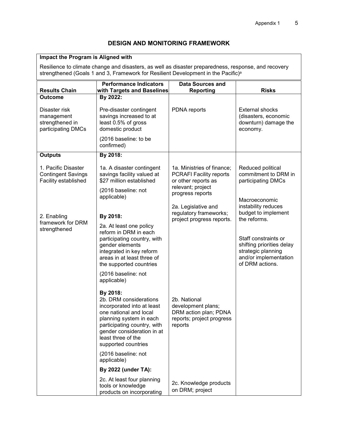## **DESIGN AND MONITORING FRAMEWORK**

#### **Impact the Program is Aligned with**

Resilience to climate change and disasters, as well as disaster preparedness, response, and recovery strengthened (Goals 1 and 3, Framework for Resilient Development in the Pacific)<sup>a</sup>

| <b>Results Chain</b>                                                     | <b>Performance Indicators</b><br>with Targets and Baselines                                                                                                                                                                     | <b>Data Sources and</b><br><b>Reporting</b>                                                                                  | <b>Risks</b>                                                                                                                        |
|--------------------------------------------------------------------------|---------------------------------------------------------------------------------------------------------------------------------------------------------------------------------------------------------------------------------|------------------------------------------------------------------------------------------------------------------------------|-------------------------------------------------------------------------------------------------------------------------------------|
| <b>Outcome</b>                                                           | By 2022:                                                                                                                                                                                                                        |                                                                                                                              |                                                                                                                                     |
| Disaster risk<br>management<br>strengthened in<br>participating DMCs     | Pre-disaster contingent<br>savings increased to at<br>least 0.5% of gross<br>domestic product                                                                                                                                   | PDNA reports                                                                                                                 | <b>External shocks</b><br>(disasters, economic<br>downturn) damage the<br>economy.                                                  |
|                                                                          | (2016 baseline: to be<br>confirmed)                                                                                                                                                                                             |                                                                                                                              |                                                                                                                                     |
| <b>Outputs</b>                                                           | By 2018:                                                                                                                                                                                                                        |                                                                                                                              |                                                                                                                                     |
| 1. Pacific Disaster<br><b>Contingent Savings</b><br>Facility established | 1a. A disaster contingent<br>savings facility valued at<br>\$27 million established<br>(2016 baseline: not<br>applicable)                                                                                                       | 1a. Ministries of finance;<br><b>PCRAFI Facility reports</b><br>or other reports as<br>relevant; project<br>progress reports | Reduced political<br>commitment to DRM in<br>participating DMCs<br>Macroeconomic                                                    |
|                                                                          |                                                                                                                                                                                                                                 | 2a. Legislative and<br>regulatory frameworks;                                                                                | instability reduces<br>budget to implement                                                                                          |
| 2. Enabling<br>framework for DRM<br>strengthened                         | By 2018:<br>2a. At least one policy<br>reform in DRM in each<br>participating country, with<br>gender elements<br>integrated in key reform<br>areas in at least three of<br>the supported countries<br>(2016 baseline: not      | project progress reports.                                                                                                    | the reforms.<br>Staff constraints or<br>shifting priorities delay<br>strategic planning<br>and/or implementation<br>of DRM actions. |
|                                                                          | applicable)                                                                                                                                                                                                                     |                                                                                                                              |                                                                                                                                     |
|                                                                          | By 2018:<br>2b. DRM considerations<br>incorporated into at least<br>one national and local<br>planning system in each<br>participating country, with<br>gender consideration in at<br>least three of the<br>supported countries | 2b. National<br>development plans;<br>DRM action plan; PDNA<br>reports; project progress<br>reports                          |                                                                                                                                     |
|                                                                          | (2016 baseline: not<br>applicable)                                                                                                                                                                                              |                                                                                                                              |                                                                                                                                     |
|                                                                          | By 2022 (under TA):                                                                                                                                                                                                             |                                                                                                                              |                                                                                                                                     |
|                                                                          | 2c. At least four planning<br>tools or knowledge<br>products on incorporating                                                                                                                                                   | 2c. Knowledge products<br>on DRM; project                                                                                    |                                                                                                                                     |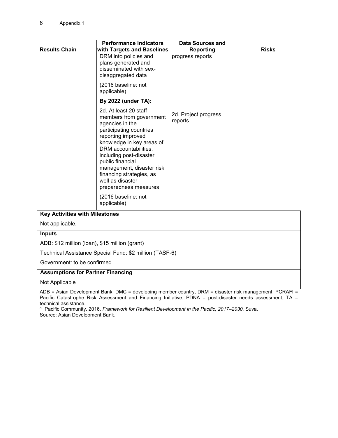|                                                         | <b>Performance Indicators</b>                                                                                                                                                                                                                                                                                                                          | <b>Data Sources and</b>         |              |  |  |  |
|---------------------------------------------------------|--------------------------------------------------------------------------------------------------------------------------------------------------------------------------------------------------------------------------------------------------------------------------------------------------------------------------------------------------------|---------------------------------|--------------|--|--|--|
| <b>Results Chain</b>                                    | with Targets and Baselines                                                                                                                                                                                                                                                                                                                             | Reporting                       | <b>Risks</b> |  |  |  |
|                                                         | DRM into policies and<br>plans generated and<br>disseminated with sex-<br>disaggregated data<br>(2016 baseline: not                                                                                                                                                                                                                                    | progress reports                |              |  |  |  |
|                                                         | applicable)                                                                                                                                                                                                                                                                                                                                            |                                 |              |  |  |  |
|                                                         | By 2022 (under TA):                                                                                                                                                                                                                                                                                                                                    |                                 |              |  |  |  |
|                                                         | 2d. At least 20 staff<br>members from government<br>agencies in the<br>participating countries<br>reporting improved<br>knowledge in key areas of<br>DRM accountabilities,<br>including post-disaster<br>public financial<br>management, disaster risk<br>financing strategies, as<br>well as disaster<br>preparedness measures<br>(2016 baseline: not | 2d. Project progress<br>reports |              |  |  |  |
|                                                         | applicable)                                                                                                                                                                                                                                                                                                                                            |                                 |              |  |  |  |
|                                                         | <b>Key Activities with Milestones</b>                                                                                                                                                                                                                                                                                                                  |                                 |              |  |  |  |
| Not applicable.                                         |                                                                                                                                                                                                                                                                                                                                                        |                                 |              |  |  |  |
| <b>Inputs</b>                                           |                                                                                                                                                                                                                                                                                                                                                        |                                 |              |  |  |  |
| ADB: \$12 million (loan), \$15 million (grant)          |                                                                                                                                                                                                                                                                                                                                                        |                                 |              |  |  |  |
| Technical Assistance Special Fund: \$2 million (TASF-6) |                                                                                                                                                                                                                                                                                                                                                        |                                 |              |  |  |  |
| Government: to be confirmed.                            |                                                                                                                                                                                                                                                                                                                                                        |                                 |              |  |  |  |
|                                                         | <b>Assumptions for Partner Financing</b>                                                                                                                                                                                                                                                                                                               |                                 |              |  |  |  |
| Not Applicable                                          |                                                                                                                                                                                                                                                                                                                                                        |                                 |              |  |  |  |

ADB = Asian Development Bank, DMC = developing member country, DRM = disaster risk management, PCRAFI = Pacific Catastrophe Risk Assessment and Financing Initiative, PDNA = post-disaster needs assessment, TA = technical assistance.

<sup>a</sup> Pacific Community. 2016. *Framework for Resilient Development in the Pacific, 2017–2030.* Suva. Source: Asian Development Bank.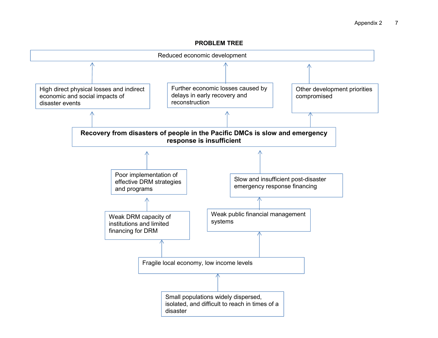#### **PROBLEM TREE**

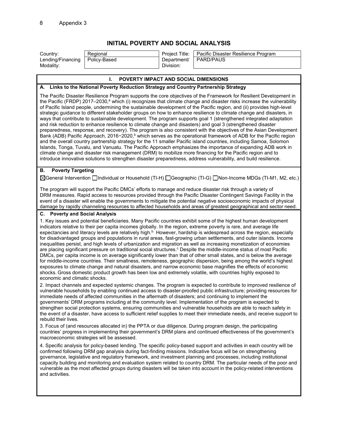## **INITIAL POVERTY AND SOCIAL ANALYSIS**

| Country:                       | Regional     | Project Title:           | Pacific Disaster Resilience Program |
|--------------------------------|--------------|--------------------------|-------------------------------------|
| Lending/Financing<br>Modality: | Policy-Based | Department/<br>Division: | <b>PARD/PAUS</b>                    |

#### **I. POVERTY IMPACT AND SOCIAL DIMENSIONS**

#### **A. Links to the National Poverty Reduction Strategy and Country Partnership Strategy**

The Pacific Disaster Resilience Program supports the core objectives of the Framework for Resilient Development in the Pacific (FRDP) 2017–2030,<sup>a</sup> which (i) recognizes that climate change and disaster risks increase the vulnerability of Pacific Island people, undermining the sustainable development of the Pacific region, and (ii) provides high-level strategic guidance to different stakeholder groups on how to enhance resilience to climate change and disasters, in ways that contribute to sustainable development. The program supports goal 1 (strengthened integrated adaptation and risk reduction to enhance resilience to climate change and disasters) and goal 3 (strengthened disaster preparedness, response, and recovery). The program is also consistent with the objectives of the Asian Development Bank (ADB) Pacific Approach, 2016−2020,<sup>b</sup> which serves as the operational framework of ADB for the Pacific region and the overall country partnership strategy for the 11 smaller Pacific island countries, including Samoa, Solomon Islands, Tonga, Tuvalu, and Vanuatu. The Pacific Approach emphasizes the importance of expanding ADB work in climate change and disaster risk management (DRM) to mobilize more financing for the Pacific region and to introduce innovative solutions to strengthen disaster preparedness, address vulnerability, and build resilience.

#### **B. Poverty Targeting**

General Intervention Individual or Household (TI-H) Geographic (TI-G) Non-Income MDGs (TI-M1, M2, etc.)

The program will support the Pacific DMCs' efforts to manage and reduce disaster risk through a variety of DRM measures. Rapid access to resources provided through the Pacific Disaster Contingent Savings Facility in the event of a disaster will enable the governments to mitigate the potential negative socioeconomic impacts of physical damage by rapidly channeling resources to affected households and areas of greatest geographical and sector need.

#### **C. Poverty and Social Analysis**

1. Key issues and potential beneficiaries. Many Pacific countries exhibit some of the highest human development indicators relative to their per capita incomes globally. In the region, extreme poverty is rare, and average life expectancies and literacy levels are relatively high.<sup>b</sup> However, hardship is widespread across the region, especially for disadvantaged groups and populations in rural areas, fast-growing urban settlements, and outer islands. Income inequalities persist, and high levels of urbanization and migration as well as increasing monetization of economies are placing significant pressure on traditional social structures.<sup>c</sup> Despite the middle-income status of most Pacific DMCs, per capita income is on average significantly lower than that of other small states, and is below the average for middle-income countries. Their smallness, remoteness, geographic dispersion, being among the world's highest exposures to climate change and natural disasters, and narrow economic base magnifies the effects of economic shocks. Gross domestic product growth has been low and extremely volatile, with countries highly exposed to economic and climatic shocks.

2. Impact channels and expected systemic changes. The program is expected to contribute to improved resilience of vulnerable households by enabling continued access to disaster-proofed public infrastructure; providing resources for immediate needs of affected communities in the aftermath of disasters; and continuing to implement the governments' DRM programs including at the community level. Implementation of the program is expected to strengthen social protection systems, ensuring communities and vulnerable households are able to reach safety in the event of a disaster, have access to sufficient relief supplies to meet their immediate needs, and receive support to rebuild their lives.

3. Focus of (and resources allocated in) the PPTA or due diligence. During program design, the participating countries' progress in implementing their government's DRM plans and continued effectiveness of the government's macroeconomic strategies will be assessed.

4. Specific analysis for policy-based lending. The specific policy-based support and activities in each country will be confirmed following DRM gap analysis during fact-finding missions. Indicative focus will be on strengthening governance, legislative and regulatory framework, and investment planning and processes, including institutional capacity building and monitoring and evaluation system related to country DRM. The particular needs of the poor and vulnerable as the most affected groups during disasters will be taken into account in the policy-related interventions and activities.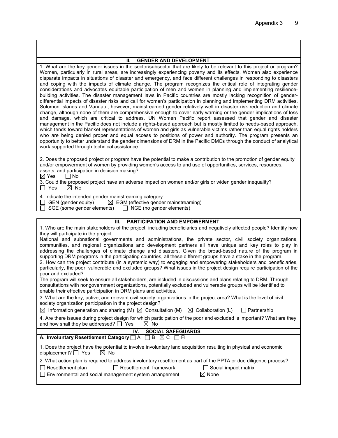#### **II. GENDER AND DEVELOPMENT**

1. What are the key gender issues in the sector/subsector that are likely to be relevant to this project or program? Women, particularly in rural areas, are increasingly experiencing poverty and its effects. Women also experience disparate impacts in situations of disaster and emergency, and face different challenges in responding to disasters and coping with the impacts of climate change. The program recognizes the critical role of integrating gender considerations and advocates equitable participation of men and women in planning and implementing resiliencebuilding activities. The disaster management laws in Pacific countries are mostly lacking recognition of genderdifferential impacts of disaster risks and call for women's participation in planning and implementing DRM activities. Solomon Islands and Vanuatu, however, mainstreamed gender relatively well in disaster risk reduction and climate change, although none of them are comprehensive enough to cover early warning or the gender implications of loss and damage, which are critical to address. UN Women Pacific report assessed that gender and disaster management in the Pacific does not include a rights-based approach but is mostly limited to needs-based approach, which tends toward blanket representations of women and girls as vulnerable victims rather than equal rights holders who are being denied proper and equal access to positions of power and authority. The program presents an opportunity to better understand the gender dimensions of DRM in the Pacific DMCs through the conduct of analytical work supported through technical assistance.

2. Does the proposed project or program have the potential to make a contribution to the promotion of gender equity and/or empowerment of women by providing women's access to and use of opportunities, services, resources, assets, and participation in decision making?

 $\boxtimes$  Yes  $\Box$  No

3. Could the proposed project have an adverse impact on women and/or girls or widen gender inequality?  $\Box$  Yes  $\boxtimes$  No

4. Indicate the intended gender mainstreaming category:

 $\Box$  GEN (gender equity)  $\Box$  EGM (effective gender mainstreaming)

 $\Box$  SGE (some gender elements)  $\Box$  NGE (no gender elements)

#### **III. PARTICIPATION AND EMPOWERMENT**

| 1. Who are the main stakeholders of the project, including beneficiaries and negatively affected people? Identify how               |  |  |  |  |
|-------------------------------------------------------------------------------------------------------------------------------------|--|--|--|--|
| they will participate in the project.                                                                                               |  |  |  |  |
| National and subnational governments and administrations, the private sector, civil society organizations,                          |  |  |  |  |
| communities, and regional organizations and development partners all have unique and key roles to play in                           |  |  |  |  |
| addressing the challenges of climate change and disasters. Given the broad-based nature of the program in                           |  |  |  |  |
| supporting DRM programs in the participating countries, all these different groups have a stake in the program.                     |  |  |  |  |
| 2. How can the project contribute (in a systemic way) to engaging and empowering stakeholders and beneficiaries,                    |  |  |  |  |
| particularly, the poor, vulnerable and excluded groups? What issues in the project design require participation of the              |  |  |  |  |
| poor and excluded?                                                                                                                  |  |  |  |  |
| The program will seek to ensure all stakeholders, are included in discussions and plans relating to DRM. Through                    |  |  |  |  |
| consultations with nongovernment organizations, potentially excluded and vulnerable groups will be identified to                    |  |  |  |  |
| enable their effective participation in DRM plans and activities.                                                                   |  |  |  |  |
| 3. What are the key, active, and relevant civil society organizations in the project area? What is the level of civil               |  |  |  |  |
| society organization participation in the project design?                                                                           |  |  |  |  |
| $\boxtimes$ Information generation and sharing (M) $\boxtimes$ Consultation (M) $\boxtimes$ Collaboration (L)<br>$\Box$ Partnership |  |  |  |  |
| 4. Are there issues during project design for which participation of the poor and excluded is important? What are they              |  |  |  |  |
| and how shall they be addressed? $\Box$ Yes<br>$\bowtie$<br>No                                                                      |  |  |  |  |
| <b>SOCIAL SAFEGUARDS</b><br>IV.                                                                                                     |  |  |  |  |
| A. Involuntary Resettlement Category $\Box A$ $\Box B$ $\boxtimes$ C $\Box$ FI                                                      |  |  |  |  |
| 1. Does the project have the potential to involve involuntary land acquisition resulting in physical and economic                   |  |  |  |  |
| displacement? $\Box$ Yes<br>$\boxtimes$ No                                                                                          |  |  |  |  |
| 2. What action plan is required to address involuntary resettlement as part of the PPTA or due diligence process?                   |  |  |  |  |
|                                                                                                                                     |  |  |  |  |
| $\Box$ Resettlement plan<br>Resettlement framework<br>$\Box$ Social impact matrix                                                   |  |  |  |  |
| Environmental and social management system arrangement<br>$\boxtimes$ None                                                          |  |  |  |  |